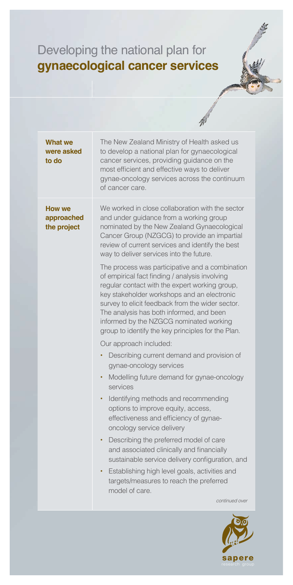## Developing the national plan for **gynaecological cancer services**

|                                            | 11                                                                                                                                                                                                                                                                                                                                                                                                                                                                                                                                                                                                                                                                                                                                                                                                                                                                                                                                                                                                                                                                                                                                                                                                                                                                                                           |
|--------------------------------------------|--------------------------------------------------------------------------------------------------------------------------------------------------------------------------------------------------------------------------------------------------------------------------------------------------------------------------------------------------------------------------------------------------------------------------------------------------------------------------------------------------------------------------------------------------------------------------------------------------------------------------------------------------------------------------------------------------------------------------------------------------------------------------------------------------------------------------------------------------------------------------------------------------------------------------------------------------------------------------------------------------------------------------------------------------------------------------------------------------------------------------------------------------------------------------------------------------------------------------------------------------------------------------------------------------------------|
| <b>What we</b><br>were asked<br>to do      | The New Zealand Ministry of Health asked us<br>to develop a national plan for gynaecological<br>cancer services, providing guidance on the<br>most efficient and effective ways to deliver<br>gynae-oncology services across the continuum<br>of cancer care.                                                                                                                                                                                                                                                                                                                                                                                                                                                                                                                                                                                                                                                                                                                                                                                                                                                                                                                                                                                                                                                |
| <b>How we</b><br>approached<br>the project | We worked in close collaboration with the sector<br>and under guidance from a working group<br>nominated by the New Zealand Gynaecological<br>Cancer Group (NZGCG) to provide an impartial<br>review of current services and identify the best<br>way to deliver services into the future.<br>The process was participative and a combination<br>of empirical fact finding / analysis involving<br>regular contact with the expert working group,<br>key stakeholder workshops and an electronic<br>survey to elicit feedback from the wider sector.<br>The analysis has both informed, and been<br>informed by the NZGCG nominated working<br>group to identify the key principles for the Plan.<br>Our approach included:<br>Describing current demand and provision of<br>٠<br>gynae-oncology services<br>Modelling future demand for gynae-oncology<br>٠<br>services<br>Identifying methods and recommending<br>٠<br>options to improve equity, access,<br>effectiveness and efficiency of gynae-<br>oncology service delivery<br>Describing the preferred model of care<br>and associated clinically and financially<br>sustainable service delivery configuration, and<br>Establishing high level goals, activities and<br>targets/measures to reach the preferred<br>model of care.<br>continued over |